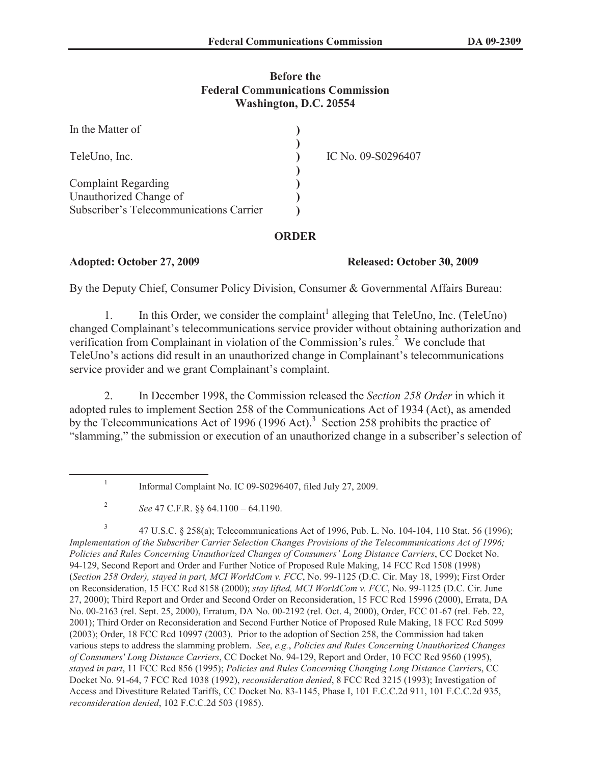## **Before the Federal Communications Commission Washington, D.C. 20554**

| In the Matter of                                                  |                    |
|-------------------------------------------------------------------|--------------------|
| TeleUno, Inc.                                                     | IC No. 09-S0296407 |
| <b>Complaint Regarding</b>                                        |                    |
| Unauthorized Change of<br>Subscriber's Telecommunications Carrier |                    |

## **ORDER**

## **Adopted: October 27, 2009 Released: October 30, 2009**

By the Deputy Chief, Consumer Policy Division, Consumer & Governmental Affairs Bureau:

1. In this Order, we consider the complaint<sup>1</sup> alleging that TeleUno, Inc. (TeleUno) changed Complainant's telecommunications service provider without obtaining authorization and verification from Complainant in violation of the Commission's rules.<sup>2</sup> We conclude that TeleUno's actions did result in an unauthorized change in Complainant's telecommunications service provider and we grant Complainant's complaint.

2. In December 1998, the Commission released the *Section 258 Order* in which it adopted rules to implement Section 258 of the Communications Act of 1934 (Act), as amended by the Telecommunications Act of 1996 (1996 Act).<sup>3</sup> Section 258 prohibits the practice of "slamming," the submission or execution of an unauthorized change in a subscriber's selection of

3 47 U.S.C. § 258(a); Telecommunications Act of 1996, Pub. L. No. 104-104, 110 Stat. 56 (1996); *Implementation of the Subscriber Carrier Selection Changes Provisions of the Telecommunications Act of 1996; Policies and Rules Concerning Unauthorized Changes of Consumers' Long Distance Carriers*, CC Docket No. 94-129, Second Report and Order and Further Notice of Proposed Rule Making, 14 FCC Rcd 1508 (1998) (*Section 258 Order), stayed in part, MCI WorldCom v. FCC*, No. 99-1125 (D.C. Cir. May 18, 1999); First Order on Reconsideration, 15 FCC Rcd 8158 (2000); *stay lifted, MCI WorldCom v. FCC*, No. 99-1125 (D.C. Cir. June 27, 2000); Third Report and Order and Second Order on Reconsideration, 15 FCC Rcd 15996 (2000), Errata, DA No. 00-2163 (rel. Sept. 25, 2000), Erratum, DA No. 00-2192 (rel. Oct. 4, 2000), Order, FCC 01-67 (rel. Feb. 22, 2001); Third Order on Reconsideration and Second Further Notice of Proposed Rule Making, 18 FCC Rcd 5099 (2003); Order, 18 FCC Rcd 10997 (2003). Prior to the adoption of Section 258, the Commission had taken various steps to address the slamming problem. *See*, *e.g.*, *Policies and Rules Concerning Unauthorized Changes of Consumers' Long Distance Carriers*, CC Docket No. 94-129, Report and Order, 10 FCC Rcd 9560 (1995), *stayed in part*, 11 FCC Rcd 856 (1995); *Policies and Rules Concerning Changing Long Distance Carrier*s, CC Docket No. 91-64, 7 FCC Rcd 1038 (1992), *reconsideration denied*, 8 FCC Rcd 3215 (1993); Investigation of Access and Divestiture Related Tariffs, CC Docket No. 83-1145, Phase I, 101 F.C.C.2d 911, 101 F.C.C.2d 935, *reconsideration denied*, 102 F.C.C.2d 503 (1985).

<sup>1</sup> Informal Complaint No. IC 09-S0296407, filed July 27, 2009.

<sup>2</sup> *See* 47 C.F.R. §§ 64.1100 – 64.1190.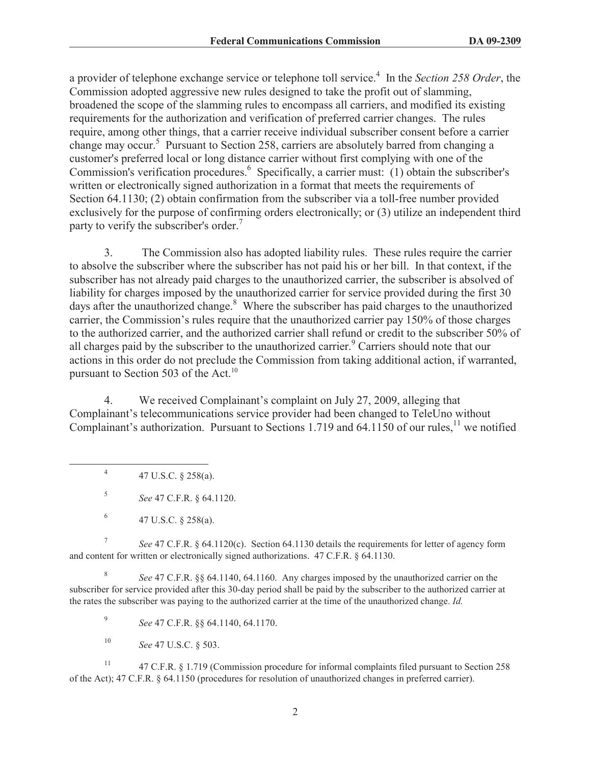a provider of telephone exchange service or telephone toll service.<sup>4</sup> In the *Section 258 Order*, the Commission adopted aggressive new rules designed to take the profit out of slamming, broadened the scope of the slamming rules to encompass all carriers, and modified its existing requirements for the authorization and verification of preferred carrier changes. The rules require, among other things, that a carrier receive individual subscriber consent before a carrier change may occur.<sup>5</sup> Pursuant to Section 258, carriers are absolutely barred from changing a customer's preferred local or long distance carrier without first complying with one of the Commission's verification procedures.<sup>6</sup> Specifically, a carrier must: (1) obtain the subscriber's written or electronically signed authorization in a format that meets the requirements of Section 64.1130; (2) obtain confirmation from the subscriber via a toll-free number provided exclusively for the purpose of confirming orders electronically; or (3) utilize an independent third party to verify the subscriber's order.<sup>7</sup>

3. The Commission also has adopted liability rules. These rules require the carrier to absolve the subscriber where the subscriber has not paid his or her bill. In that context, if the subscriber has not already paid charges to the unauthorized carrier, the subscriber is absolved of liability for charges imposed by the unauthorized carrier for service provided during the first 30 days after the unauthorized change.<sup>8</sup> Where the subscriber has paid charges to the unauthorized carrier, the Commission's rules require that the unauthorized carrier pay 150% of those charges to the authorized carrier, and the authorized carrier shall refund or credit to the subscriber 50% of all charges paid by the subscriber to the unauthorized carrier.<sup>9</sup> Carriers should note that our actions in this order do not preclude the Commission from taking additional action, if warranted, pursuant to Section 503 of the Act. $^{10}$ 

4. We received Complainant's complaint on July 27, 2009, alleging that Complainant's telecommunications service provider had been changed to TeleUno without Complainant's authorization. Pursuant to Sections 1.719 and 64.1150 of our rules,<sup>11</sup> we notified

4 47 U.S.C. § 258(a).

5 *See* 47 C.F.R. § 64.1120.

7 *See* 47 C.F.R. § 64.1120(c). Section 64.1130 details the requirements for letter of agency form and content for written or electronically signed authorizations. 47 C.F.R. § 64.1130.

8 *See* 47 C.F.R. §§ 64.1140, 64.1160. Any charges imposed by the unauthorized carrier on the subscriber for service provided after this 30-day period shall be paid by the subscriber to the authorized carrier at the rates the subscriber was paying to the authorized carrier at the time of the unauthorized change. *Id.*

9 *See* 47 C.F.R. §§ 64.1140, 64.1170.

<sup>10</sup> *See* 47 U.S.C. § 503.

<sup>11</sup> 47 C.F.R. § 1.719 (Commission procedure for informal complaints filed pursuant to Section 258 of the Act); 47 C.F.R. § 64.1150 (procedures for resolution of unauthorized changes in preferred carrier).

<sup>6</sup> 47 U.S.C. § 258(a).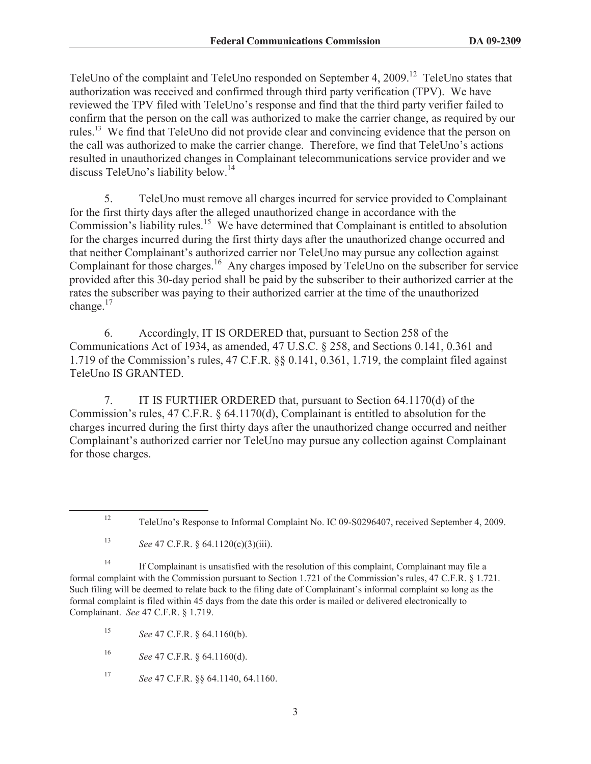TeleUno of the complaint and TeleUno responded on September 4, 2009.<sup>12</sup> TeleUno states that authorization was received and confirmed through third party verification (TPV). We have reviewed the TPV filed with TeleUno's response and find that the third party verifier failed to confirm that the person on the call was authorized to make the carrier change, as required by our rules.<sup>13</sup> We find that TeleUno did not provide clear and convincing evidence that the person on the call was authorized to make the carrier change. Therefore, we find that TeleUno's actions resulted in unauthorized changes in Complainant telecommunications service provider and we discuss TeleUno's liability below.<sup>14</sup>

5. TeleUno must remove all charges incurred for service provided to Complainant for the first thirty days after the alleged unauthorized change in accordance with the Commission's liability rules.<sup>15</sup> We have determined that Complainant is entitled to absolution for the charges incurred during the first thirty days after the unauthorized change occurred and that neither Complainant's authorized carrier nor TeleUno may pursue any collection against Complainant for those charges.<sup>16</sup> Any charges imposed by TeleUno on the subscriber for service provided after this 30-day period shall be paid by the subscriber to their authorized carrier at the rates the subscriber was paying to their authorized carrier at the time of the unauthorized change.<sup>17</sup>

6. Accordingly, IT IS ORDERED that, pursuant to Section 258 of the Communications Act of 1934, as amended, 47 U.S.C. § 258, and Sections 0.141, 0.361 and 1.719 of the Commission's rules, 47 C.F.R. §§ 0.141, 0.361, 1.719, the complaint filed against TeleUno IS GRANTED.

7. IT IS FURTHER ORDERED that, pursuant to Section 64.1170(d) of the Commission's rules, 47 C.F.R. § 64.1170(d), Complainant is entitled to absolution for the charges incurred during the first thirty days after the unauthorized change occurred and neither Complainant's authorized carrier nor TeleUno may pursue any collection against Complainant for those charges.

<sup>14</sup> If Complainant is unsatisfied with the resolution of this complaint, Complainant may file a formal complaint with the Commission pursuant to Section 1.721 of the Commission's rules, 47 C.F.R. § 1.721. Such filing will be deemed to relate back to the filing date of Complainant's informal complaint so long as the formal complaint is filed within 45 days from the date this order is mailed or delivered electronically to Complainant. *See* 47 C.F.R. § 1.719.

<sup>15</sup> *See* 47 C.F.R. § 64.1160(b).

<sup>16</sup> *See* 47 C.F.R. § 64.1160(d).

<sup>17</sup> *See* 47 C.F.R. §§ 64.1140, 64.1160.

<sup>12</sup> TeleUno's Response to Informal Complaint No. IC 09-S0296407, received September 4, 2009.

<sup>13</sup> *See* 47 C.F.R. § 64.1120(c)(3)(iii).